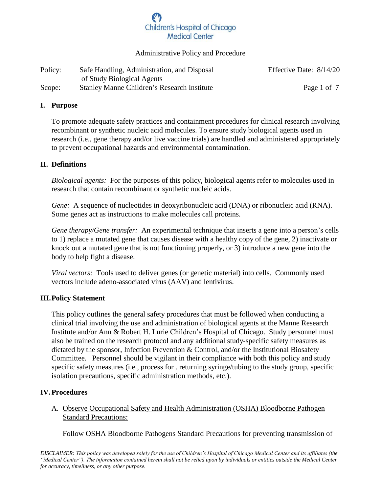#### Administrative Policy and Procedure

| Policy: | Safe Handling, Administration, and Disposal        | Effective Date: 8/14/20 |
|---------|----------------------------------------------------|-------------------------|
|         | of Study Biological Agents                         |                         |
| Scope:  | <b>Stanley Manne Children's Research Institute</b> | Page 1 of 7             |

### **I. Purpose**

To promote adequate safety practices and containment procedures for clinical research involving recombinant or synthetic nucleic acid molecules. To ensure study biological agents used in research (i.e., gene therapy and/or live vaccine trials) are handled and administered appropriately to prevent occupational hazards and environmental contamination.

### **II. Definitions**

*Biological agents:* For the purposes of this policy, biological agents refer to molecules used in research that contain recombinant or synthetic nucleic acids.

*Gene:* A sequence of nucleotides in deoxyribonucleic acid (DNA) or ribonucleic acid (RNA). Some genes act as instructions to make molecules call proteins.

*Gene therapy/Gene transfer:* An experimental technique that inserts a gene into a person's cells to 1) replace a mutated gene that causes disease with a healthy copy of the gene, 2) inactivate or knock out a mutated gene that is not functioning properly, or 3) introduce a new gene into the body to help fight a disease.

*Viral vectors:* Tools used to deliver genes (or genetic material) into cells. Commonly used vectors include adeno-associated virus (AAV) and lentivirus.

### **III.Policy Statement**

This policy outlines the general safety procedures that must be followed when conducting a clinical trial involving the use and administration of biological agents at the Manne Research Institute and/or Ann & Robert H. Lurie Children's Hospital of Chicago. Study personnel must also be trained on the research protocol and any additional study-specific safety measures as dictated by the sponsor, Infection Prevention & Control, and/or the Institutional Biosafety Committee. Personnel should be vigilant in their compliance with both this policy and study specific safety measures (i.e., process for . returning syringe/tubing to the study group, specific isolation precautions, specific administration methods, etc.).

### **IV.Procedures**

A. Observe Occupational Safety and Health Administration (OSHA) Bloodborne Pathogen Standard Precautions:

Follow OSHA Bloodborne Pathogens Standard Precautions for preventing transmission of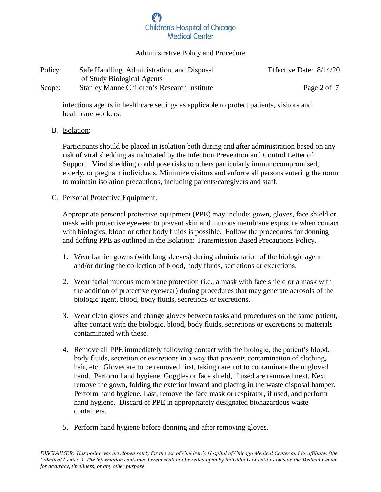#### Administrative Policy and Procedure

| Policy: | Safe Handling, Administration, and Disposal        | Effective Date: 8/14/20 |
|---------|----------------------------------------------------|-------------------------|
|         | of Study Biological Agents                         |                         |
| Scope:  | <b>Stanley Manne Children's Research Institute</b> | Page 2 of 7             |

infectious agents in healthcare settings as applicable to protect patients, visitors and healthcare workers.

#### B. Isolation:

Participants should be placed in isolation both during and after administration based on any risk of viral shedding as indictated by the Infection Prevention and Control Letter of Support. Viral shedding could pose risks to others particularly immunocompromised, elderly, or pregnant individuals. Minimize visitors and enforce all persons entering the room to maintain isolation precautions, including parents/caregivers and staff.

### C. Personal Protective Equipment:

Appropriate personal protective equipment (PPE) may include: gown, gloves, face shield or mask with protective eyewear to prevent skin and mucous membrane exposure when contact with biologics, blood or other body fluids is possible. Follow the procedures for donning and doffing PPE as outlined in the Isolation: Transmission Based Precautions Policy.

- 1. Wear barrier gowns (with long sleeves) during administration of the biologic agent and/or during the collection of blood, body fluids, secretions or excretions.
- 2. Wear facial mucous membrane protection (i.e., a mask with face shield or a mask with the addition of protective eyewear) during procedures that may generate aerosols of the biologic agent, blood, body fluids, secretions or excretions.
- 3. Wear clean gloves and change gloves between tasks and procedures on the same patient, after contact with the biologic, blood, body fluids, secretions or excretions or materials contaminated with these.
- 4. Remove all PPE immediately following contact with the biologic, the patient's blood, body fluids, secretion or excretions in a way that prevents contamination of clothing, hair, etc. Gloves are to be removed first, taking care not to contaminate the ungloved hand. Perform hand hygiene. Goggles or face shield, if used are removed next. Next remove the gown, folding the exterior inward and placing in the waste disposal hamper. Perform hand hygiene. Last, remove the face mask or respirator, if used, and perform hand hygiene. Discard of PPE in appropriately designated biohazardous waste containers.
- 5. Perform hand hygiene before donning and after removing gloves.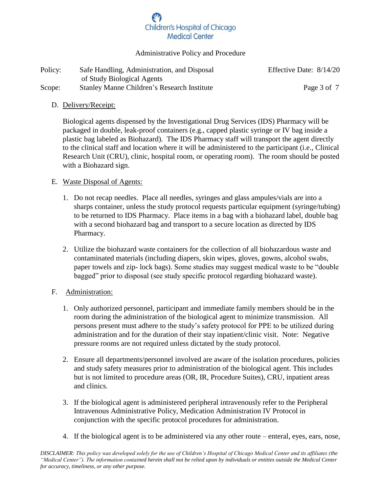### Administrative Policy and Procedure

| Policy: | Safe Handling, Administration, and Disposal        | Effective Date: 8/14/20 |
|---------|----------------------------------------------------|-------------------------|
|         | of Study Biological Agents                         |                         |
| Scope:  | <b>Stanley Manne Children's Research Institute</b> | Page 3 of 7             |

### D. Delivery/Receipt:

Biological agents dispensed by the Investigational Drug Services (IDS) Pharmacy will be packaged in double, leak-proof containers (e.g., capped plastic syringe or IV bag inside a plastic bag labeled as Biohazard). The IDS Pharmacy staff will transport the agent directly to the clinical staff and location where it will be administered to the participant (i.e., Clinical Research Unit (CRU), clinic, hospital room, or operating room). The room should be posted with a Biohazard sign.

#### E. Waste Disposal of Agents:

- 1. Do not recap needles. Place all needles, syringes and glass ampules/vials are into a sharps container, unless the study protocol requests particular equipment (syringe/tubing) to be returned to IDS Pharmacy. Place items in a bag with a biohazard label, double bag with a second biohazard bag and transport to a secure location as directed by IDS Pharmacy.
- 2. Utilize the biohazard waste containers for the collection of all biohazardous waste and contaminated materials (including diapers, skin wipes, gloves, gowns, alcohol swabs, paper towels and zip- lock bags). Some studies may suggest medical waste to be "double bagged" prior to disposal (see study specific protocol regarding biohazard waste).

### F. Administration:

- 1. Only authorized personnel, participant and immediate family members should be in the room during the administration of the biological agent to minimize transmission. All persons present must adhere to the study's safety protocol for PPE to be utilized during administration and for the duration of their stay inpatient/clinic visit. Note: Negative pressure rooms are not required unless dictated by the study protocol.
- 2. Ensure all departments/personnel involved are aware of the isolation procedures, policies and study safety measures prior to administration of the biological agent. This includes but is not limited to procedure areas (OR, IR, Procedure Suites), CRU, inpatient areas and clinics.
- 3. If the biological agent is administered peripheral intravenously refer to the Peripheral Intravenous Administrative Policy, Medication Administration IV Protocol in conjunction with the specific protocol procedures for administration.
- 4. If the biological agent is to be administered via any other route enteral, eyes, ears, nose,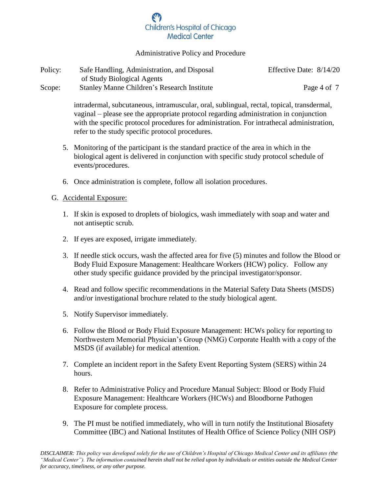### Administrative Policy and Procedure

| Policy: | Safe Handling, Administration, and Disposal        | Effective Date: 8/14/20 |
|---------|----------------------------------------------------|-------------------------|
|         | of Study Biological Agents                         |                         |
| Scope:  | <b>Stanley Manne Children's Research Institute</b> | Page 4 of 7             |

intradermal, subcutaneous, intramuscular, oral, sublingual, rectal, topical, transdermal, vaginal – please see the appropriate protocol regarding administration in conjunction with the specific protocol procedures for administration. For intrathecal administration, refer to the study specific protocol procedures.

- 5. Monitoring of the participant is the standard practice of the area in which in the biological agent is delivered in conjunction with specific study protocol schedule of events/procedures.
- 6. Once administration is complete, follow all isolation procedures.

### G. Accidental Exposure:

- 1. If skin is exposed to droplets of biologics, wash immediately with soap and water and not antiseptic scrub.
- 2. If eyes are exposed, irrigate immediately.
- 3. If needle stick occurs, wash the affected area for five (5) minutes and follow the Blood or Body Fluid Exposure Management: Healthcare Workers (HCW) policy. Follow any other study specific guidance provided by the principal investigator/sponsor.
- 4. Read and follow specific recommendations in the Material Safety Data Sheets (MSDS) and/or investigational brochure related to the study biological agent.
- 5. Notify Supervisor immediately.
- 6. Follow the Blood or Body Fluid Exposure Management: HCWs policy for reporting to Northwestern Memorial Physician's Group (NMG) Corporate Health with a copy of the MSDS (if available) for medical attention.
- 7. Complete an incident report in the Safety Event Reporting System (SERS) within 24 hours.
- 8. Refer to Administrative Policy and Procedure Manual Subject: Blood or Body Fluid Exposure Management: Healthcare Workers (HCWs) and Bloodborne Pathogen Exposure for complete process.
- 9. The PI must be notified immediately, who will in turn notify the Institutional Biosafety Committee (IBC) and National Institutes of Health Office of Science Policy (NIH OSP)

*DISCLAIMER: This policy was developed solely for the use of Children's Hospital of Chicago Medical Center and its affiliates (the "Medical Center"). The information contained herein shall not be relied upon by individuals or entities outside the Medical Center for accuracy, timeliness, or any other purpose.*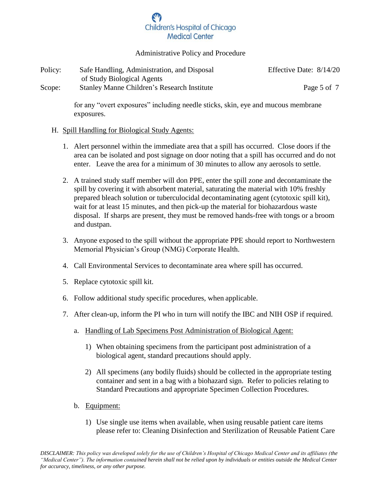### Administrative Policy and Procedure

| Policy: | Safe Handling, Administration, and Disposal        | Effective Date: 8/14/20 |
|---------|----------------------------------------------------|-------------------------|
|         | of Study Biological Agents                         |                         |
| Scope:  | <b>Stanley Manne Children's Research Institute</b> | Page 5 of 7             |

for any "overt exposures" including needle sticks, skin, eye and mucous membrane exposures.

#### H. Spill Handling for Biological Study Agents:

- 1. Alert personnel within the immediate area that a spill has occurred. Close doors if the area can be isolated and post signage on door noting that a spill has occurred and do not enter. Leave the area for a minimum of 30 minutes to allow any aerosols to settle.
- 2. A trained study staff member will don PPE, enter the spill zone and decontaminate the spill by covering it with absorbent material, saturating the material with 10% freshly prepared bleach solution or tuberculocidal decontaminating agent (cytotoxic spill kit), wait for at least 15 minutes, and then pick-up the material for biohazardous waste disposal. If sharps are present, they must be removed hands-free with tongs or a broom and dustpan.
- 3. Anyone exposed to the spill without the appropriate PPE should report to Northwestern Memorial Physician's Group (NMG) Corporate Health.
- 4. Call Environmental Services to decontaminate area where spill has occurred.
- 5. Replace cytotoxic spill kit.
- 6. Follow additional study specific procedures, when applicable.
- 7. After clean-up, inform the PI who in turn will notify the IBC and NIH OSP if required.
	- a. Handling of Lab Specimens Post Administration of Biological Agent:
		- 1) When obtaining specimens from the participant post administration of a biological agent, standard precautions should apply.
		- 2) All specimens (any bodily fluids) should be collected in the appropriate testing container and sent in a bag with a biohazard sign. Refer to policies relating to Standard Precautions and appropriate Specimen Collection Procedures.
	- b. Equipment:
		- 1) Use single use items when available, when using reusable patient care items please refer to: Cleaning Disinfection and Sterilization of Reusable Patient Care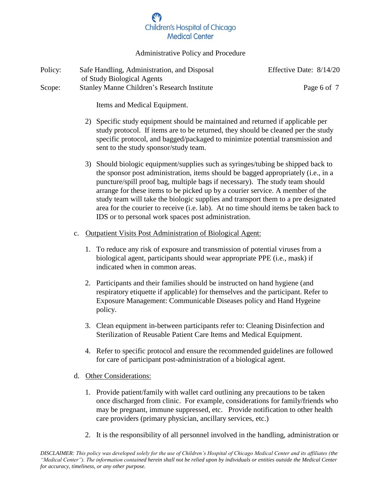### Administrative Policy and Procedure

| Policy: | Safe Handling, Administration, and Disposal        | Effective Date: 8/14/20 |
|---------|----------------------------------------------------|-------------------------|
|         | of Study Biological Agents                         |                         |
| Scope:  | <b>Stanley Manne Children's Research Institute</b> | Page 6 of 7             |

Items and Medical Equipment.

- 2) Specific study equipment should be maintained and returned if applicable per study protocol. If items are to be returned, they should be cleaned per the study specific protocol, and bagged/packaged to minimize potential transmission and sent to the study sponsor/study team.
- 3) Should biologic equipment/supplies such as syringes/tubing be shipped back to the sponsor post administration, items should be bagged appropriately (i.e., in a puncture/spill proof bag, multiple bags if necessary). The study team should arrange for these items to be picked up by a courier service. A member of the study team will take the biologic supplies and transport them to a pre designated area for the courier to receive (i.e. lab). At no time should items be taken back to IDS or to personal work spaces post administration.
- c. Outpatient Visits Post Administration of Biological Agent:
	- 1. To reduce any risk of exposure and transmission of potential viruses from a biological agent, participants should wear appropriate PPE (i.e., mask) if indicated when in common areas.
	- 2. Participants and their families should be instructed on hand hygiene (and respiratory etiquette if applicable) for themselves and the participant. Refer to Exposure Management: Communicable Diseases policy and Hand Hygeine policy.
	- 3. Clean equipment in-between participants refer to: Cleaning Disinfection and Sterilization of Reusable Patient Care Items and Medical Equipment.
	- 4. Refer to specific protocol and ensure the recommended guidelines are followed for care of participant post-administration of a biological agent.
- d. Other Considerations:
	- 1. Provide patient/family with wallet card outlining any precautions to be taken once discharged from clinic. For example, considerations for family/friends who may be pregnant, immune suppressed, etc. Provide notification to other health care providers (primary physician, ancillary services, etc.)
	- 2. It is the responsibility of all personnel involved in the handling, administration or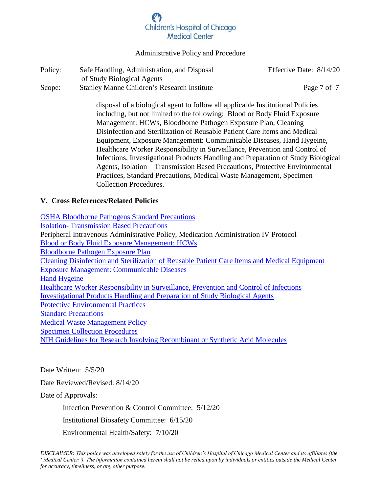#### Administrative Policy and Procedure

| Policy: | Safe Handling, Administration, and Disposal        | Effective Date: 8/14/20 |
|---------|----------------------------------------------------|-------------------------|
|         | of Study Biological Agents                         |                         |
| Scope:  | <b>Stanley Manne Children's Research Institute</b> | Page 7 of 7             |

disposal of a biological agent to follow all applicable Institutional Policies including, but not limited to the following: Blood or Body Fluid Exposure Management: HCWs, Bloodborne Pathogen Exposure Plan, Cleaning Disinfection and Sterilization of Reusable Patient Care Items and Medical Equipment, Exposure Management: Communicable Diseases, Hand Hygeine, Healthcare Worker Responsibility in Surveillance, Prevention and Control of Infections, Investigational Products Handling and Preparation of Study Biological Agents, Isolation – Transmission Based Precautions, Protective Environmental Practices, Standard Precautions, Medical Waste Management, Specimen Collection Procedures.

#### **V. Cross References/Related Policies**

[OSHA Bloodborne Pathogens Standard Precautions](https://www.osha.gov/pls/oshaweb/owadisp.show_document?p_id=10051&p_table=STANDARDS) Isolation- [Transmission Based Precautions](http://portal2/sites/lcpp/Infection%20Prevention%20%20Control/Isolation-Transmission%20Based%20Precautions.pdf) Peripheral Intravenous Administrative Policy, Medication Administration IV Protocol [Blood or Body Fluid Exposure Management: HCWs](http://portal2/sites/lcpp/Infection%20Prevention%20%20Control/Blood%20and%20Body%20Fluid%20Exposure%20Managment-HCWs.pdf)  [Bloodborne Pathogen Exposure Plan](http://portal2/sites/lcpp/Infection%20Prevention%20%20Control/Bloodborne%20Pathogen%20Exposure%20Control%20Plan.pdf) [Cleaning Disinfection and Sterilization of Reusable Patient Care Items and Medical Equipment](http://portal2/sites/lcpp/Infection%20Prevention%20%20Control/Cleaning%20Disinfection%20and%20Sterilization%20of%20Reusable%20Patient%20Care%20Items%20and%20Medical%20Equipment.pdf) [Exposure Management: Communicable Diseases](http://portal2/sites/lcpp/Infection%20Prevention%20%20Control/Exposure%20Management%20Communicable%20Diseases.pdf) [Hand Hygeine](http://portal2/sites/lcpp/Infection%20Prevention%20%20Control/Hand%20Hygiene.pdf) [Healthcare Worker Responsibility in Surveillance, Prevention and Control of Infections](http://portal2/sites/lcpp/Infection%20Prevention%20%20Control/Healthcare%20Worker%20Responsibility%20in%20Surveillance%20Prevention%20and%20Control%20of%20Infections.pdf) [Investigational Products Handling and Preparation of](https://www.luriechildrens.org/globalassets/documents/luriechildrens.org/research/research-management--support/researcher-toolkit/irb-resources/sop-handling-and-preparation-of-study-biological-agents.pdf) Study Biological Agents [Protective Environmental Practices](http://portal2/sites/lcpp/Infection%20Prevention%20%20Control/Protective%20Environment%20Practices.pdf) [Standard Precautions](http://portal2/sites/lcpp/Infection%20Prevention%20%20Control/Standard%20Precautions.pdf) Medical Waste [Management Policy](http://portal2/sites/lcpp/Management%20of%20Environment%20of%20Care/Medical%20Waste%20Management.docx.pdf) [Specimen Collection Procedures](http://portal2/sites/ncg/_layouts/15/osssearchresults.aspx?u=http%3A%2F%2Fportal2%2Fsites%2Fncg&k=specimen%20collection) [NIH Guidelines for Research Involving Recombinant or Synthetic Acid Molecules](https://osp.od.nih.gov/biotechnology/nih-guidelines/) 

Date Written: 5/5/20

Date Reviewed/Revised: 8/14/20

Date of Approvals:

Infection Prevention & Control Committee: 5/12/20

Institutional Biosafety Committee: 6/15/20

Environmental Health/Safety: 7/10/20